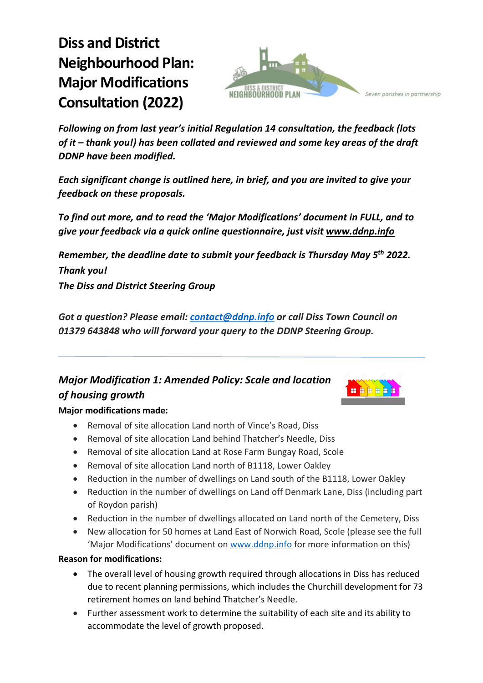# **Diss and District Neighbourhood Plan: Major Modifications Consultation (2022)**



*Following on from last year's initial Regulation 14 consultation, the feedback (lots of it – thank you!) has been collated and reviewed and some key areas of the draft DDNP have been modified.* 

*Each significant change is outlined here, in brief, and you are invited to give your feedback on these proposals.*

*To find out more, and to read the 'Major Modifications' document in FULL, and to give your feedback via a quick online questionnaire, just visit [www.ddnp.info](http://www.ddnp.info/)*

*Remember, the deadline date to submit your feedback is Thursday May 5th 2022. Thank you!*

*The Diss and District Steering Group*

*Got a question? Please email: [contact@ddnp.info](mailto:contact@ddnp.info) or call Diss Town Council on 01379 643848 who will forward your query to the DDNP Steering Group.* 

# *Major Modification 1: Amended Policy: Scale and location of housing growth*



#### **Major modifications made:**

- Removal of site allocation Land north of Vince's Road, Diss
- Removal of site allocation Land behind Thatcher's Needle, Diss
- Removal of site allocation Land at Rose Farm Bungay Road, Scole
- Removal of site allocation Land north of B1118, Lower Oakley
- Reduction in the number of dwellings on Land south of the B1118, Lower Oakley
- Reduction in the number of dwellings on Land off Denmark Lane, Diss (including part of Roydon parish)
- Reduction in the number of dwellings allocated on Land north of the Cemetery, Diss
- New allocation for 50 homes at Land East of Norwich Road, Scole (please see the full 'Major Modifications' document o[n www.ddnp.info](http://www.ddnp.info/) for more information on this)

#### **Reason for modifications:**

- The overall level of housing growth required through allocations in Diss has reduced due to recent planning permissions, which includes the Churchill development for 73 retirement homes on land behind Thatcher's Needle.
- Further assessment work to determine the suitability of each site and its ability to accommodate the level of growth proposed.